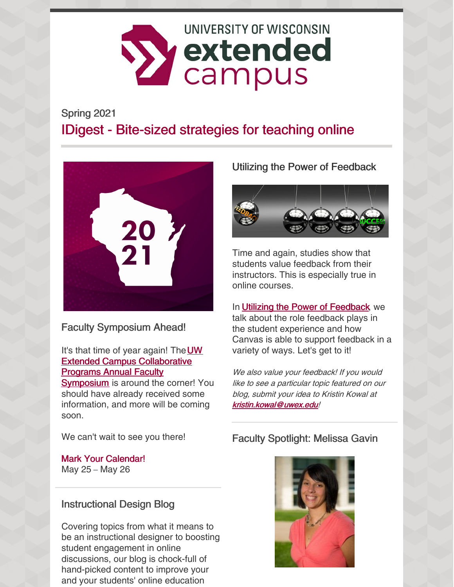

# Spring 2021 IDigest - Bite-sized strategies for teaching online



### Faculty Symposium Ahead!

It's that time of year again! The  $UW$ Extended Campus [Collaborative](https://ce.uwex.edu/faculty-symposium/) Programs Annual Faculty

**[Symposium](https://ce.uwex.edu/faculty-symposium/)** is around the corner! You should have already received some information, and more will be coming soon.

We can't wait to see you there!

Mark Your Calendar! May 25 – May 26

#### Instructional Design Blog

Covering topics from what it means to be an instructional designer to boosting student engagement in online discussions, our blog is chock-full of hand-picked content to improve your and your students' online education

Utilizing the Power of Feedback



Time and again, studies show that students value feedback from their instructors. This is especially true in online courses.

In **Utilizing the Power of [Feedback](https://wp.me/p76ccK-2WT)**, we talk about the role feedback plays in the student experience and how Canvas is able to support feedback in a variety of ways. Let's get to it!

We also value your feedback! If you would like to see <sup>a</sup> particular topic featured on our blog, submit your idea to Kristin Kowal at [kristin.kowal@uwex.edu](mailto:kristin.kowal@uwex.edu)!

#### Faculty Spotlight: Melissa Gavin